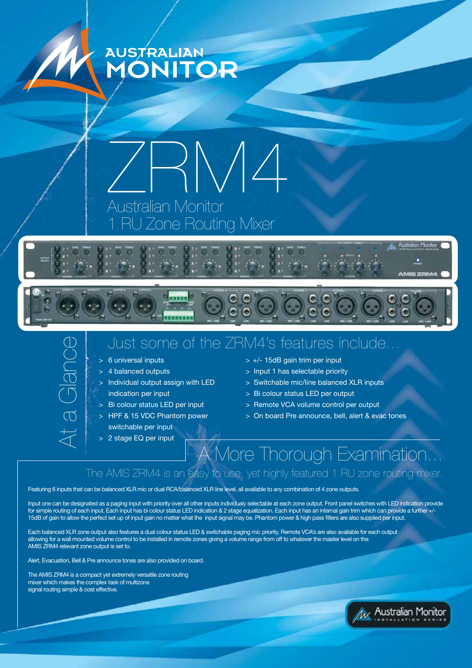





## Just some of the ZRM4's features include...

At a Glance

- 
- 
- switchable per input
- > 2 stage EQ per input

> 6 universal inputs > +/- 15dB gain trim per input

 $\ddot{\text{o}}$ 

- > 4 balanced outputs > Input 1 has selectable priority
- > Individual output assign with LED > Switchable mic/line balanced XLR inputs
	- indication per input <br>  $\overline{\phantom{a}}$  > Bi colour status LED per output
- > Bi colour status LED per input > Remote VCA volume control per output
- > HPF & 15 VDC Phantom power > On board Pre announce, bell, alert & evac tones

## A More Thorough Examination... The AMIS ZRM4 is an easy to use, yet highly featured 1 RU zone routing mixer.

Featuring 6 inputs that can be balanced XLR mic or dual RCA/balanced XLR line level, all available to any combination of 4 zone outputs.

Input one can be designated as a paging input with priority over all other inputs individualy selectable at each zone output. Front panel switches with LED indication provide for simple routing of each input. Each input has bi colour status LED indication & 2 stage equalization. Each input has an internal gain trim which can provide a further +/- 15dB of gain to allow the perfect set up of input gain no matter what the input signal may be. Phantom power & high pass filters are also supplied per input.

Each balanced XLR zone output also features a dual colour status LED & switchable paging mic priority. Remote VCA's are also available for each output allowing for a wall mounted volume control to be installed in remote zones giving a volume range from off to whatever the master level on the AMIS ZRM4 relevant zone output is set to.

Alert, Evacuation, Bell & Pre announce tones are also provided on board.

The AMIS ZRM4 is a compact yet extremely versatile zone routing mixer which makes the complex task of multizone signal routing simple & cost effective.



**Australian Monitor** 

**IMIS ZRM4**